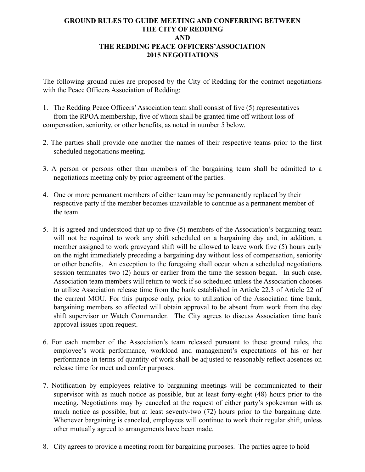## **GROUND RULES TO GUIDE MEETING AND CONFERRING BETWEEN THE CITY OF REDDING AND THE REDDING PEACE OFFICERS'ASSOCIATION 2015 NEGOTIATIONS**

The following ground rules are proposed by the City of Redding for the contract negotiations with the Peace Officers Association of Redding:

- 1. The Redding Peace Officers' Association team shall consist of five (5) representatives from the RPOA membership, five of whom shall be granted time off without loss of compensation, seniority, or other benefits, as noted in number 5 below.
- 2. The parties shall provide one another the names of their respective teams prior to the first scheduled negotiations meeting.
- 3. A person or persons other than members of the bargaining team shall be admitted to a negotiations meeting only by prior agreement of the parties.
- 4. One or more permanent members of either team may be permanently replaced by their respective party if the member becomes unavailable to continue as a permanent member of the team.
- 5. It is agreed and understood that up to five (5) members of the Association's bargaining team will not be required to work any shift scheduled on a bargaining day and, in addition, a member assigned to work graveyard shift will be allowed to leave work five (5) hours early on the night immediately preceding a bargaining day without loss of compensation, seniority or other benefits. An exception to the foregoing shall occur when a scheduled negotiations session terminates two (2) hours or earlier from the time the session began. In such case, Association team members will return to work if so scheduled unless the Association chooses to utilize Association release time from the bank established in Article 22.3 of Article 22 of the current MOU. For this purpose only, prior to utilization of the Association time bank, bargaining members so affected will obtain approval to be absent from work from the day shift supervisor or Watch Commander. The City agrees to discuss Association time bank approval issues upon request.
- 6. For each member of the Association's team released pursuant to these ground rules, the employee's work performance, workload and management's expectations of his or her performance in terms of quantity of work shall be adjusted to reasonably reflect absences on release time for meet and confer purposes.
- 7. Notification by employees relative to bargaining meetings will be communicated to their supervisor with as much notice as possible, but at least forty-eight (48) hours prior to the meeting. Negotiations may by canceled at the request of either party's spokesman with as much notice as possible, but at least seventy-two (72) hours prior to the bargaining date. Whenever bargaining is canceled, employees will continue to work their regular shift, unless other mutually agreed to arrangements have been made.
- 8. City agrees to provide a meeting room for bargaining purposes. The parties agree to hold